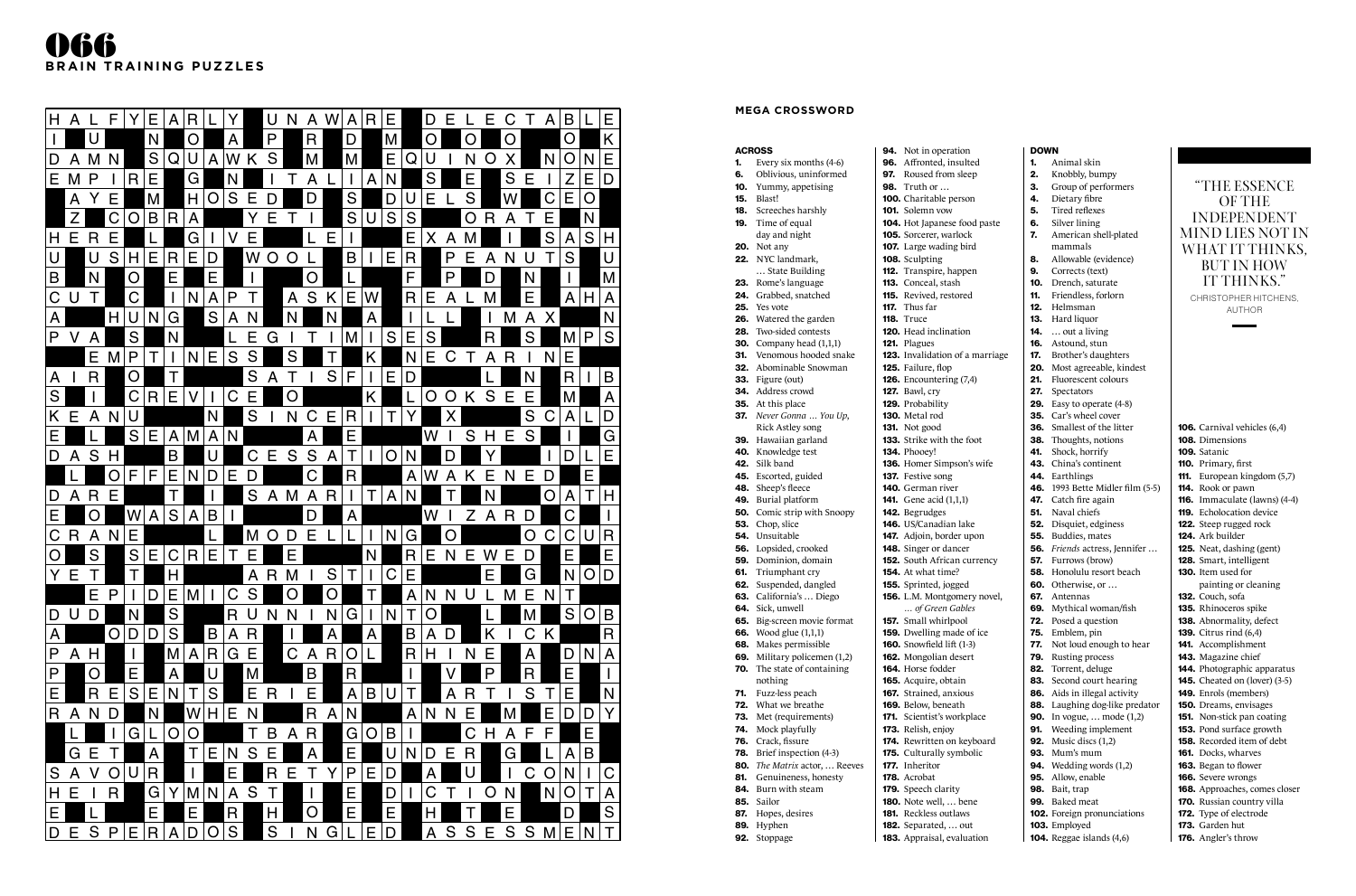#### **MEGA CROSSWORD**

#### ACROSS

- **1.** Every six months  $(4-6)$
- 6. Oblivious, uninformed
- 10. Yummy, appetising
- 15. Blast!
- 18. Screeches harshly **19.** Time of equal
- day and night
- **20.** Not any
- 22. NYC landmark,
- … State Building
- 23. Rome's language
- 24. Grabbed, snatched
- 25. Yes vote
- 26. Watered the garden
- 28. Two-sided contests
- **30.** Company head (1,1,1)
- 31. Venomous hooded snake
- 32. Abominable Snowman
- 
- 33. Figure (out) 34. Address crowd
- **35.** At this place
- 37. *Never Gonna … You Up*, Rick Astley song
- 39. Hawaiian garland
- 40. Knowledge test
- 42. Silk band
- 45. Escorted, guided
- 48. Sheep's fleece
	-
- 49. Burial platform 142. Begrudges
- 50. Comic strip with Snoopy
- 53. Chop, slice
- 54. Unsuitable
- 56. Lopsided, crooked
- 59. Dominion, domain
- **61.** Triumphant cry
- 62. Suspended, dangled
- 63. California's … Diego
- 64. Sick, unwell

117. Thus far **118.** Truce

nothing 71. Fuzz-less peach 72. What we breathe

- 65. Big-screen movie format
- **66.** Wood glue (1,1,1)
- 68. Makes permissible **160.** Snowfield lift (1-3)
- 69. Military policemen (1,2)
- 70. The state of containing
	- 165. Acquire, obtain
	- 167. Strained, anxious
	-
- 73. Met (requirements)
- 74. Mock playfully
- 76. Crack, fissure
- 78. Brief inspection (4-3)
- 80. *The Matrix* actor, … Reeves
- 81. Genuineness, honesty
- 84. Burn with steam
- 85. Sailor
- 87. Hopes, desires
- 89. Hyphen
- 92. Stoppage

|    | <b>94.</b> Not in operation    |
|----|--------------------------------|
|    | <b>96.</b> Affronted, insulted |
|    | <b>97.</b> Roused from sleep   |
| nο | $T$ with $\alpha$ r            |

98. Truth or …

100. Charitable person

101. Solemn vow

104. Hot Japanese food paste 105. Sorcerer, warlock 107. Large wading bird

108. Sculpting

112. Transpire, happen 113. Conceal, stash 115. Revived, restored

120. Head inclination

123. Invalidation of a marriage

121. Plagues

125. Failure, flop

126. Encountering (7,4)

133. Strike with the foot

127. Bawl, cry 129. Probability 130. Metal rod 131. Not good

134. Phooey!

136. Homer Simpson's wife

137. Festive song

140. German river 141. Gene acid (1,1,1)

146. US/Canadian lake 147. Adjoin, border upon 148. Singer or dancer 152. South African currency 154. At what time? 155. Sprinted, jogged 156. L.M. Montgomery novel, *… of Green Gables* 157. Small whirlpool

- 159. Dwelling made of ice
	- 162. Mongolian desert
- 164. Horse fodder
	-
	-
	-
	- 169. Below, beneath
	- 171. Scientist's workplace
	- 173. Relish, enjoy
	-
	- 174. Rewritten on keyboard
	- 175. Culturally symbolic
	- 177. Inheritor
	- 178. Acrobat
		-
	- 179. Speech clarity
	- 180. Note well, … bene
	- 181. Reckless outlaws
	- 182. Separated, … out
	-

CHRISTOPHER HITCHENS, AUTHOR

- 
- 183. Appraisal, evaluation

DOWN

1. Animal skin 2. Knobbly, bumpy

3. Group of performers

4. Dietary fibre

5. Tired reflexes

- 6. Silver lining 7. American shell-plated
- mammals 8. Allowable (evidence)
- 9. Corrects (text)
- 10. Drench, saturate
- 11. Friendless, forlorn
- 12. Helmsman
- 13. Hard liquor
- **14.**  $\dots$  out a living
- 16. Astound, stun 17. Brother's daughters
- 20. Most agreeable, kindest
- 21. Fluorescent colours 27. Spectators
- 29. Easy to operate (4-8)
- 35. Car's wheel cover
- 36. Smallest of the litter
- 38. Thoughts, notions
- 41. Shock, horrify
- 43. China's continent
- 44. Earthlings 46. 1993 Bette Midler film (5-5)
- 47. Catch fire again
- **51.** Naval chiefs
- 52. Disquiet, edginess
- 55. Buddies, mates
- 56. *Friends* actress, Jennifer …
- 57. Furrows (brow) 58. Honolulu resort beach
- 60. Otherwise, or …
- 67. Antennas
- 69. Mythical woman/fish
- 72. Posed a question
- 75. Emblem, pin
- 77. Not loud enough to hear
- 79. Rusting process
- 82. Torrent, deluge
- 83. Second court hearing 86. Aids in illegal activity
- 88. Laughing dog-like predator
- **90.** In vogue, ... mode (1,2)
- 91. Weeding implement
- 92. Music discs (1,2)
- 93. Mum's mum
- 94. Wedding words (1,2)
- 95. Allow, enable
- 98. Bait, trap
- 99. Baked meat
- 102. Foreign pronunciations 103. Employed
- 104. Reggae islands (4,6)

106. Carnival vehicles (6,4) 108. Dimensions 109. Satanic 110. Primary, first 111. European kingdom (5,7) 114. Rook or pawn 116. Immaculate (lawns) (4-4) 119. Echolocation device 122. Steep rugged rock 124. Ark builder 125. Neat, dashing (gent) 128. Smart, intelligent 130. Item used for painting or cleaning 132. Couch, sofa 135. Rhinoceros spike 138. Abnormality, defect 139. Citrus rind (6,4) 141. Accomplishment 143. Magazine chief 144. Photographic apparatus 145. Cheated on (lover) (3-5) 149. Enrols (members) 150. Dreams, envisages 151. Non-stick pan coating 153. Pond surface growth 158. Recorded item of debt 161. Docks, wharves 163. Began to flower 166. Severe wrongs 168. Approaches, comes closer 170. Russian country villa 172. Type of electrode 173. Garden hut 176. Angler's throw

## "THE ESSENCE OF THE INDEPENDENT MIND LIES NOT IN WHAT IT THINKS, BUT IN HOW IT THINKS."